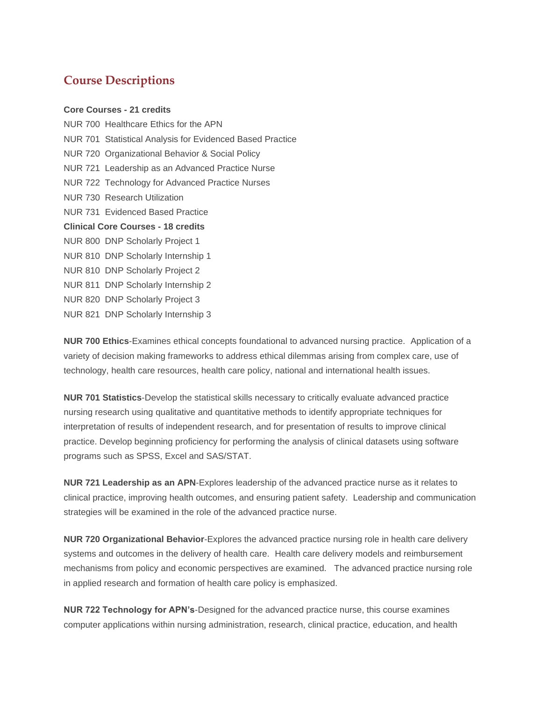## **Course Descriptions**

## **Core Courses - 21 credits**

NUR 700 Healthcare Ethics for the APN NUR 701 Statistical Analysis for Evidenced Based Practice NUR 720 Organizational Behavior & Social Policy NUR 721 Leadership as an Advanced Practice Nurse NUR 722 Technology for Advanced Practice Nurses NUR 730 Research Utilization NUR 731 Evidenced Based Practice **Clinical Core Courses - 18 credits** NUR 800 DNP Scholarly Project 1 NUR 810 DNP Scholarly Internship 1 NUR 810 DNP Scholarly Project 2 NUR 811 DNP Scholarly Internship 2 NUR 820 DNP Scholarly Project 3 NUR 821 DNP Scholarly Internship 3

**NUR 700 Ethics**-Examines ethical concepts foundational to advanced nursing practice. Application of a variety of decision making frameworks to address ethical dilemmas arising from complex care, use of technology, health care resources, health care policy, national and international health issues.

**NUR 701 Statistics**-Develop the statistical skills necessary to critically evaluate advanced practice nursing research using qualitative and quantitative methods to identify appropriate techniques for interpretation of results of independent research, and for presentation of results to improve clinical practice. Develop beginning proficiency for performing the analysis of clinical datasets using software programs such as SPSS, Excel and SAS/STAT.

**NUR 721 Leadership as an APN**-Explores leadership of the advanced practice nurse as it relates to clinical practice, improving health outcomes, and ensuring patient safety. Leadership and communication strategies will be examined in the role of the advanced practice nurse.

**NUR 720 Organizational Behavior**-Explores the advanced practice nursing role in health care delivery systems and outcomes in the delivery of health care. Health care delivery models and reimbursement mechanisms from policy and economic perspectives are examined. The advanced practice nursing role in applied research and formation of health care policy is emphasized.

**NUR 722 Technology for APN's**-Designed for the advanced practice nurse, this course examines computer applications within nursing administration, research, clinical practice, education, and health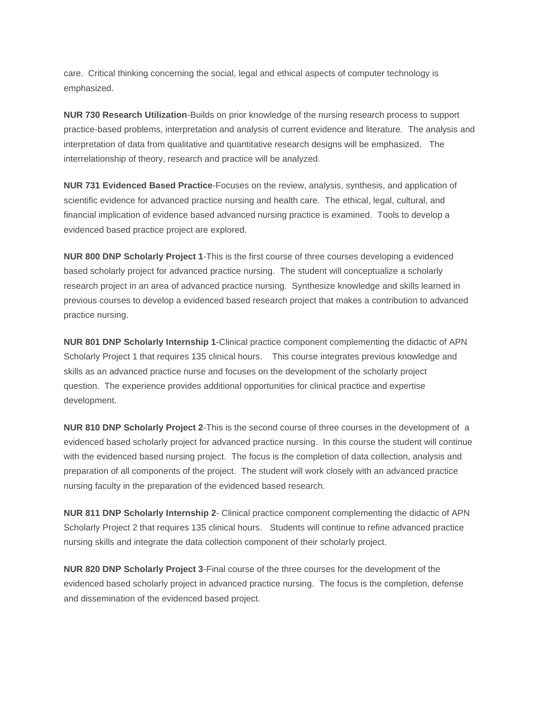care. Critical thinking concerning the social, legal and ethical aspects of computer technology is emphasized.

**NUR 730 Research Utilization**-Builds on prior knowledge of the nursing research process to support practice-based problems, interpretation and analysis of current evidence and literature. The analysis and interpretation of data from qualitative and quantitative research designs will be emphasized. The interrelationship of theory, research and practice will be analyzed.

**NUR 731 Evidenced Based Practice**-Focuses on the review, analysis, synthesis, and application of scientific evidence for advanced practice nursing and health care. The ethical, legal, cultural, and financial implication of evidence based advanced nursing practice is examined. Tools to develop a evidenced based practice project are explored.

**NUR 800 DNP Scholarly Project 1**-This is the first course of three courses developing a evidenced based scholarly project for advanced practice nursing. The student will conceptualize a scholarly research project in an area of advanced practice nursing. Synthesize knowledge and skills learned in previous courses to develop a evidenced based research project that makes a contribution to advanced practice nursing.

**NUR 801 DNP Scholarly Internship 1**-Clinical practice component complementing the didactic of APN Scholarly Project 1 that requires 135 clinical hours. This course integrates previous knowledge and skills as an advanced practice nurse and focuses on the development of the scholarly project question. The experience provides additional opportunities for clinical practice and expertise development.

**NUR 810 DNP Scholarly Project 2**-This is the second course of three courses in the development of a evidenced based scholarly project for advanced practice nursing. In this course the student will continue with the evidenced based nursing project. The focus is the completion of data collection, analysis and preparation of all components of the project. The student will work closely with an advanced practice nursing faculty in the preparation of the evidenced based research.

**NUR 811 DNP Scholarly Internship 2**- Clinical practice component complementing the didactic of APN Scholarly Project 2 that requires 135 clinical hours. Students will continue to refine advanced practice nursing skills and integrate the data collection component of their scholarly project.

**NUR 820 DNP Scholarly Project 3**-Final course of the three courses for the development of the evidenced based scholarly project in advanced practice nursing. The focus is the completion, defense and dissemination of the evidenced based project.